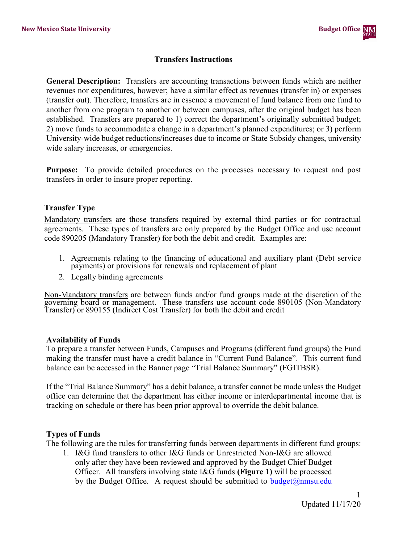### **Transfers Instructions**

**General Description:** Transfers are accounting transactions between funds which are neither revenues nor expenditures, however; have a similar effect as revenues (transfer in) or expenses (transfer out). Therefore, transfers are in essence a movement of fund balance from one fund to another from one program to another or between campuses, after the original budget has been established. Transfers are prepared to 1) correct the department's originally submitted budget; 2) move funds to accommodate a change in a department's planned expenditures; or 3) perform University-wide budget reductions/increases due to income or State Subsidy changes, university wide salary increases, or emergencies.

**Purpose:** To provide detailed procedures on the processes necessary to request and post transfers in order to insure proper reporting.

### **Transfer Type**

Mandatory transfers are those transfers required by external third parties or for contractual agreements. These types of transfers are only prepared by the Budget Office and use account code 890205 (Mandatory Transfer) for both the debit and credit. Examples are:

- 1. Agreements relating to the financing of educational and auxiliary plant (Debt service payments) or provisions for renewals and replacement of plant
- 2. Legally binding agreements

Non-Mandatory transfers are between funds and/or fund groups made at the discretion of the governing board or management. These transfers use account code 890105 (Non-Mandatory Transfer) or 890155 (Indirect Cost Transfer) for both the debit and credit

#### **Availability of Funds**

To prepare a transfer between Funds, Campuses and Programs (different fund groups) the Fund making the transfer must have a credit balance in "Current Fund Balance". This current fund balance can be accessed in the Banner page "Trial Balance Summary" (FGITBSR).

If the "Trial Balance Summary" has a debit balance, a transfer cannot be made unless the Budget office can determine that the department has either income or interdepartmental income that is tracking on schedule or there has been prior approval to override the debit balance.

#### **Types of Funds**

The following are the rules for transferring funds between departments in different fund groups:

1. I&G fund transfers to other I&G funds or Unrestricted Non-I&G are allowed only after they have been reviewed and approved by the Budget Chief Budget Officer. All transfers involving state I&G funds **(Figure 1)** will be processed by the Budget Office. A request should be submitted to  $budget(\mathcal{Q})$ nmsu.edu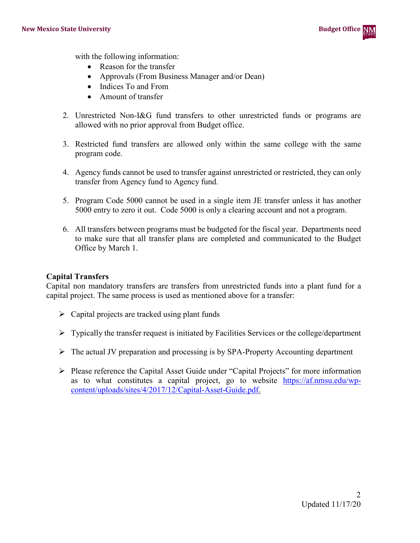

with the following information:

- Reason for the transfer
- Approvals (From Business Manager and/or Dean)
- Indices To and From
- Amount of transfer
- 2. Unrestricted Non-I&G fund transfers to other unrestricted funds or programs are allowed with no prior approval from Budget office.
- 3. Restricted fund transfers are allowed only within the same college with the same program code.
- 4. Agency funds cannot be used to transfer against unrestricted or restricted, they can only transfer from Agency fund to Agency fund.
- 5. Program Code 5000 cannot be used in a single item JE transfer unless it has another 5000 entry to zero it out. Code 5000 is only a clearing account and not a program.
- 6. All transfers between programs must be budgeted for the fiscal year. Departments need to make sure that all transfer plans are completed and communicated to the Budget Office by March 1.

## **Capital Transfers**

Capital non mandatory transfers are transfers from unrestricted funds into a plant fund for a capital project. The same process is used as mentioned above for a transfer:

- $\triangleright$  Capital projects are tracked using plant funds
- $\triangleright$  Typically the transfer request is initiated by Facilities Services or the college/department
- The actual JV preparation and processing is by SPA-Property Accounting department
- $\triangleright$  Please reference the Capital Asset Guide under "Capital Projects" for more information as to what constitutes a capital project, go to website [https://af.nmsu.edu/wp](https://af.nmsu.edu/wp-content/uploads/sites/4/2017/12/Capital-Asset-Guide.pdf)[content/uploads/sites/4/2017/12/Capital-Asset-Guide.pdf.](https://af.nmsu.edu/wp-content/uploads/sites/4/2017/12/Capital-Asset-Guide.pdf)